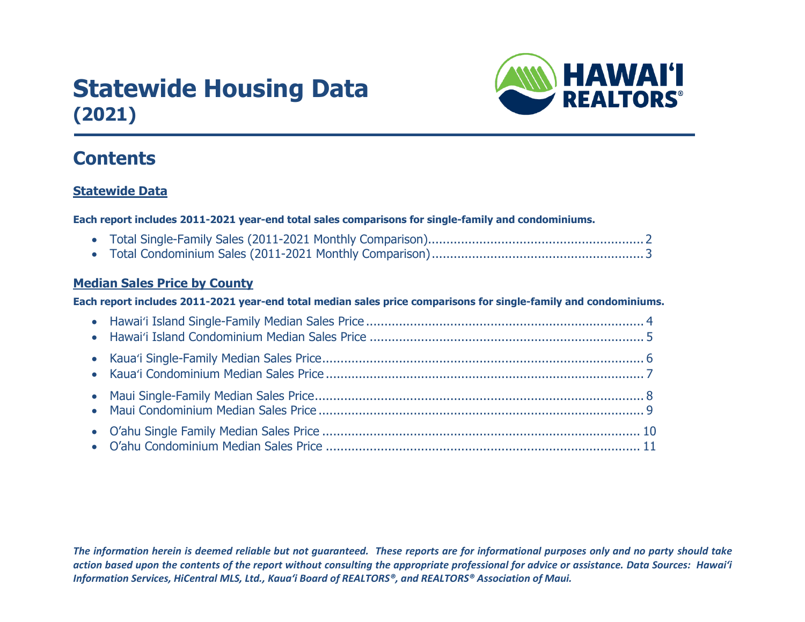# **Statewide Housing Data (2021)**



# **Contents**

### **Statewide Data**

**Each report includes 2011-2021 year-end total sales comparisons for single-family and condominiums.**

- Total Single-Family Sales (2011-2021 Monthly Comparison)...........................................................2
- Total Condominium Sales (2011-2021 Monthly Comparison) ..........................................................3

### **Median Sales Price by County**

### **Each report includes 2011-2021 year-end total median sales price comparisons for single-family and condominiums.**

*The information herein is deemed reliable but not guaranteed. These reports are for informational purposes only and no party should take action based upon the contents of the report without consulting the appropriate professional for advice or assistance. Data Sources: Hawai'i Information Services, HiCentral MLS, Ltd., Kaua'i Board of REALTORS®, and REALTORS® Association of Maui.*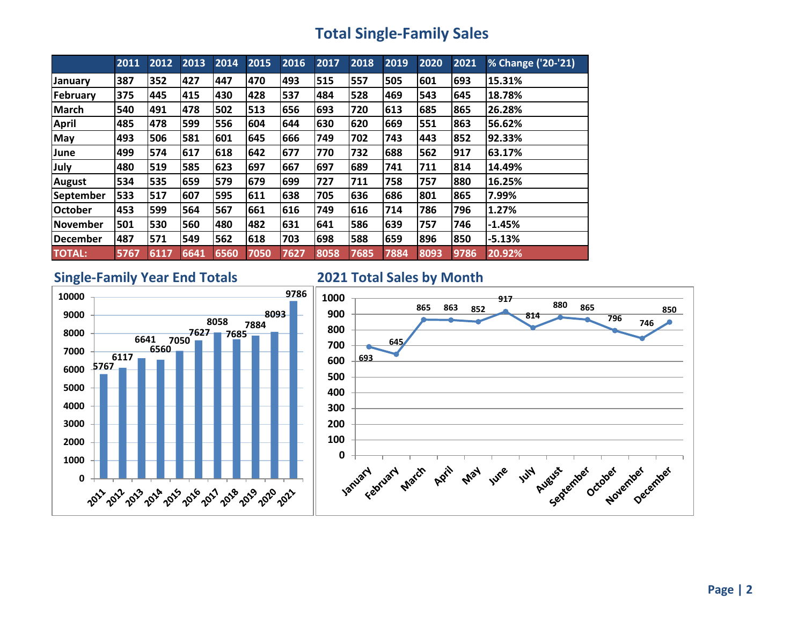# **Total Single-Family Sales**

|                 | 2011 | 2012 | 2013 | 2014 | 2015 | 2016 | 2017 | 2018 | 2019 | 2020 | 2021 | % Change ('20-'21) |
|-----------------|------|------|------|------|------|------|------|------|------|------|------|--------------------|
| January         | 387  | 352  | 427  | 447  | 470  | 493  | 515  | 557  | 505  | 601  | 693  | 15.31%             |
| February        | 375  | 445  | 415  | 430  | 428  | 537  | 484  | 528  | 469  | 543  | 645  | 18.78%             |
| <b>March</b>    | 540  | 491  | 478  | 502  | 513  | 656  | 693  | 720  | 613  | 685  | 865  | 26.28%             |
| <b>April</b>    | 485  | 478  | 599  | 556  | 604  | 644  | 630  | 620  | 669  | 551  | 863  | 56.62%             |
| <b>May</b>      | 493  | 506  | 581  | 601  | 645  | 666  | 749  | 702  | 743  | 443  | 852  | 92.33%             |
| June            | 499  | 574  | 617  | 618  | 642  | 677  | 770  | 732  | 688  | 562  | 917  | 63.17%             |
| July            | 480  | 519  | 585  | 623  | 697  | 667  | 697  | 689  | 741  | 711  | 814  | 14.49%             |
| <b>August</b>   | 534  | 535  | 659  | 579  | 679  | 699  | 727  | 711  | 758  | 757  | 880  | 16.25%             |
| September       | 533  | 517  | 607  | 595  | 611  | 638  | 705  | 636  | 686  | 801  | 865  | 7.99%              |
| <b>October</b>  | 453  | 599  | 564  | 567  | 661  | 616  | 749  | 616  | 714  | 786  | 796  | 1.27%              |
| l November      | 501  | 530  | 560  | 480  | 482  | 631  | 641  | 586  | 639  | 757  | 746  | $-1.45%$           |
| <b>December</b> | 487  | 571  | 549  | 562  | 618  | 703  | 698  | 588  | 659  | 896  | 850  | $-5.13%$           |
| <b>TOTAL:</b>   | 5767 | 6117 | 6641 | 6560 | 7050 | 7627 | 8058 | 7685 | 7884 | 8093 | 9786 | 20.92%             |

### **Single-Family Year End Totals 2021 Total Sales by Month**



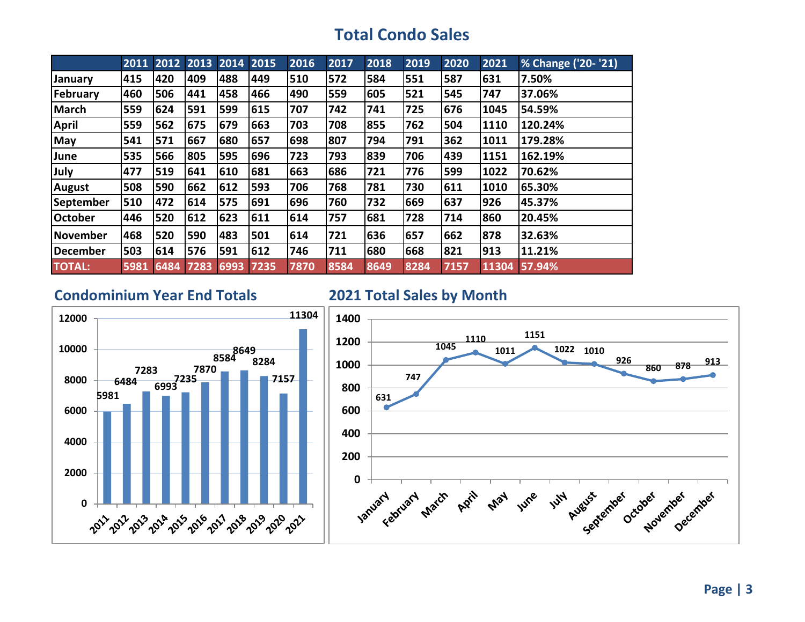# **Total Condo Sales**

|                | 2011 | 2012 2013 2014 |      |      | 2015 | 2016 | 2017 | 2018 | 2019 | 2020 | 2021  | % Change ('20- '21) |
|----------------|------|----------------|------|------|------|------|------|------|------|------|-------|---------------------|
| January        | 415  | 420            | 409  | 488  | 449  | 510  | 572  | 584  | 551  | 587  | 631   | 7.50%               |
| February       | 460  | 506            | 441  | 458  | 466  | 490  | 559  | 605  | 521  | 545  | 747   | 37.06%              |
| <b>March</b>   | 559  | 624            | 591  | 599  | 615  | 707  | 742  | 741  | 725  | 676  | 1045  | 54.59%              |
| <b>April</b>   | 559  | 562            | 675  | 679  | 663  | 703  | 708  | 855  | 762  | 504  | 1110  | 120.24%             |
| <b>May</b>     | 541  | 571            | 667  | 680  | 657  | 698  | 807  | 794  | 791  | 362  | 1011  | 179.28%             |
| June           | 535  | 566            | 805  | 595  | 696  | 723  | 793  | 839  | 706  | 439  | 1151  | 162.19%             |
| July           | 477  | 519            | 641  | 610  | 681  | 663  | 686  | 721  | 776  | 599  | 1022  | 70.62%              |
| <b>August</b>  | 508  | 590            | 662  | 612  | 593  | 706  | 768  | 781  | 730  | 611  | 1010  | 65.30%              |
| September      | 510  | 472            | 614  | 575  | 691  | 696  | 760  | 732  | 669  | 637  | 926   | 45.37%              |
| <b>October</b> | 446  | 520            | 612  | 623  | 611  | 614  | 757  | 681  | 728  | 714  | 860   | 20.45%              |
| November       | 468  | 520            | 590  | 483  | 501  | 614  | 721  | 636  | 657  | 662  | 878   | 32.63%              |
| December       | 503  | 614            | 576  | 591  | 612  | 746  | 711  | 680  | 668  | 821  | 913   | 11.21%              |
| <b>TOTAL:</b>  | 5981 | 6484           | 7283 | 6993 | 7235 | 7870 | 8584 | 8649 | 8284 | 7157 | 11304 | 57.94%              |

### **Condominium Year End Totals 2021 Total Sales by Month**



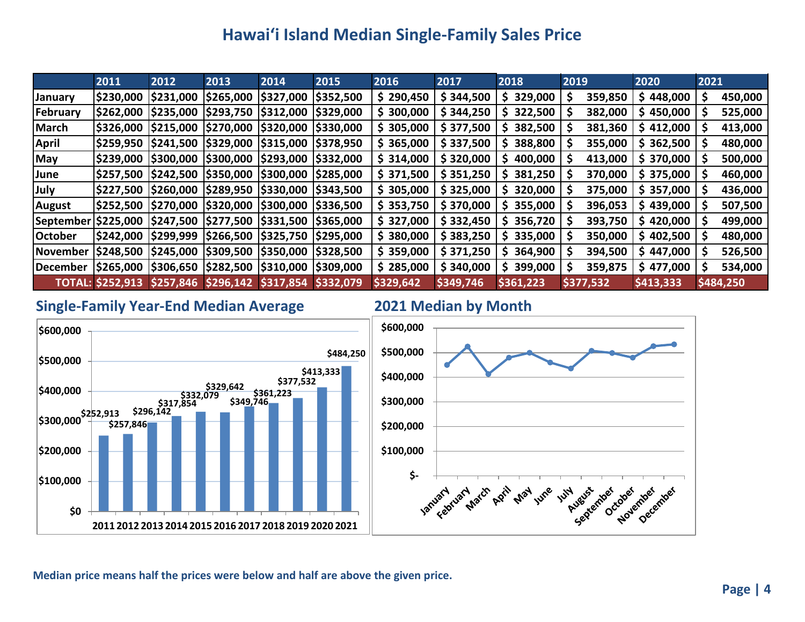# **Hawai'i Island Median Single-Family Sales Price**

|                | 2011                    | 2012      | 2013                                                             | 2014 | 2015      | 2016      | 2017      | 2018          | 2019      | 2020      | 2021         |
|----------------|-------------------------|-----------|------------------------------------------------------------------|------|-----------|-----------|-----------|---------------|-----------|-----------|--------------|
| <b>January</b> | \$230,000               | \$231,000 | \$265,000  \$327,000                                             |      | \$352,500 | \$290,450 | \$344,500 | 329,000<br>S. | 359,850   | \$448,000 | 450,000<br>Ş |
| February       | \$262,000               | \$235,000 | \$293,750  \$312,000                                             |      | \$329,000 | \$300,000 | \$344,250 | \$322,500     | 382,000   | \$450,000 | 525,000      |
| <b>March</b>   | \$326,000               |           | \$215,000  \$270,000  \$320,000                                  |      | \$330,000 | \$305,000 | \$377,500 | 382,500<br>S. | 381,360   | \$412,000 | 413,000      |
| <b>April</b>   |                         |           | \$259,950  \$241,500  \$329,000  \$315,000                       |      | \$378,950 | \$365,000 | \$337,500 | 388,800       | 355,000   | \$362,500 | 480,000      |
| <b>May</b>     |                         |           | \$239,000  \$300,000  \$300,000  \$293,000  \$332,000            |      |           | \$314,000 | \$320,000 | \$400,000     | 413,000   | \$370,000 | 500,000      |
| June           |                         |           | \$257,500  \$242,500  \$350,000  \$300,000                       |      | \$285,000 | \$371,500 | \$351,250 | 381,250<br>S. | 370,000   | \$375,000 | 460,000      |
| July           |                         |           | \$227,500  \$260,000  \$289,950  \$330,000                       |      | \$343,500 | \$305,000 | \$325,000 | \$320,000     | 375,000   | \$357,000 | 436,000      |
| <b>August</b>  |                         |           | \$252,500  \$270,000  \$320,000  \$300,000  \$336,500            |      |           | \$353,750 | \$370,000 | 355,000       | 396,053   | \$439,000 | 507,500      |
| September      |                         |           | \$225,000  \$247,500  \$277,500  \$331,500                       |      | \$365,000 | \$327,000 | \$332,450 | \$356,720     | 393,750   | \$420,000 | 499,000      |
| <b>October</b> |                         |           | \$242,000  \$299,999  \$266,500  \$325,750                       |      | \$295,000 | \$380,000 | \$383,250 | \$335,000     | 350,000   | \$402,500 | 480,000<br>S |
| November       |                         |           | \$248,500  \$245,000  \$309,500  \$350,000                       |      | \$328,500 | \$359,000 | \$371,250 | \$364,900     | 394,500   | \$447,000 | 526,500      |
| December       |                         |           | $ \$265,000$ $ \$306,650$ $ \$282,500$ $ \$310,000$ $ \$309,000$ |      |           | \$285,000 | \$340,000 | 399,000<br>S. | 359,875   | \$477,000 | 534,000      |
|                | <b>TOTAL: \$252,913</b> |           | $$257,846$ \$296,142 \$317,854                                   |      | \$332,079 | \$329,642 | \$349,746 | \$361,223     | \$377,532 | \$413,333 | \$484,250    |

### **Single-Family Year-End Median Average 2021 Median by Month**

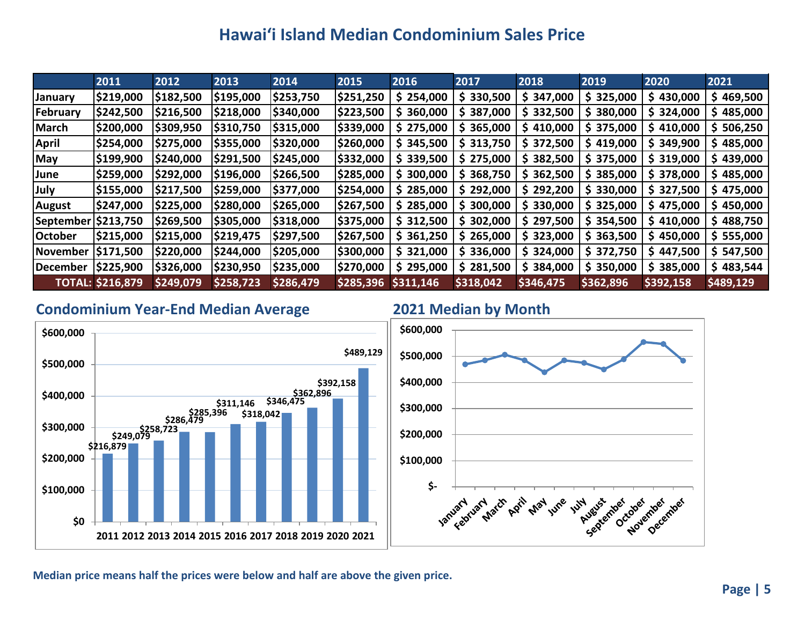# **Hawai'i Island Median Condominium Sales Price**

|                | 2011                    | 2012      | 2013      | 2014      | 2015      | 2016      | 2017      | 2018      | 2019          | 2020      | 2021          |
|----------------|-------------------------|-----------|-----------|-----------|-----------|-----------|-----------|-----------|---------------|-----------|---------------|
| <b>January</b> | \$219,000               | \$182,500 | \$195,000 | \$253,750 | \$251,250 | \$254,000 | \$330,500 | \$347,000 | \$325,000     | \$430,000 | \$469,500     |
| February       | \$242,500               | \$216,500 | \$218,000 | \$340,000 | \$223,500 | \$360,000 | \$387,000 | \$332,500 | \$380,000     | \$324,000 | 485,000<br>S. |
| <b>March</b>   | \$200,000               | \$309,950 | \$310,750 | \$315,000 | \$339,000 | \$275,000 | \$365,000 | \$410,000 | \$375,000     | \$410,000 | 506,250<br>S. |
| <b>April</b>   | \$254,000               | \$275,000 | \$355,000 | \$320,000 | \$260,000 | \$345,500 | \$313,750 | \$372,500 | \$419,000     | \$349,900 | 485,000<br>S. |
| May            | \$199,900               | \$240,000 | \$291,500 | \$245,000 | \$332,000 | \$339,500 | \$275,000 | \$382,500 | \$375,000     | \$319,000 | \$439,000     |
| June           | \$259,000               | \$292,000 | \$196,000 | \$266,500 | \$285,000 | \$300,000 | \$368,750 | \$362,500 | \$385,000     | \$378,000 | \$485,000     |
| July           | \$155,000               | \$217,500 | \$259,000 | \$377,000 | \$254,000 | \$285,000 | \$292,000 | \$292,200 | 330,000<br>S. | \$327,500 | 475,000<br>S. |
| <b>August</b>  | \$247,000               | \$225,000 | \$280,000 | \$265,000 | \$267,500 | \$285,000 | \$300,000 | \$330,000 | \$325,000     | \$475,000 | \$450,000     |
| September      | \$213,750               | \$269,500 | \$305,000 | \$318,000 | \$375,000 | \$312,500 | \$302,000 | \$297,500 | \$354,500     | \$410,000 | 488,750<br>S. |
| <b>October</b> | \$215,000               | \$215,000 | \$219,475 | \$297,500 | \$267,500 | \$361,250 | \$265,000 | \$323,000 | 363,500<br>S. | \$450,000 | 555,000<br>S. |
| November       | \$171,500               | \$220,000 | \$244,000 | \$205,000 | \$300,000 | \$321,000 | \$336,000 | \$324,000 | \$372,750     | \$447,500 | 547,500<br>S. |
| December       | \$225,900               | \$326,000 | \$230,950 | \$235,000 | \$270,000 | \$295,000 | \$281,500 | \$384,000 | \$350,000     | \$385,000 | \$483,544     |
|                | <b>TOTAL: \$216,879</b> | \$249,079 | \$258,723 | \$286,479 | \$285,396 | \$311,146 | \$318,042 | \$346,475 | \$362,896     | \$392,158 | \$489,129     |

### **Condominium Year-End Median Average 2021 Median by Month**



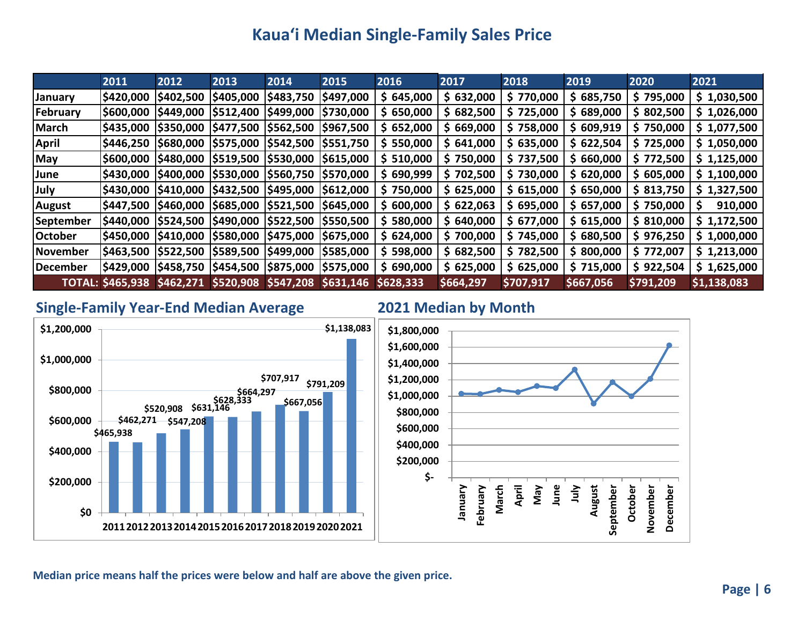# **Kaua'i Median Single-Family Sales Price**

|                 | 2011                    | 2012      | 2013                                       | 2014            | 2015      | 2016       | 2017      | 2018      | 2019      | 2020      | 2021        |
|-----------------|-------------------------|-----------|--------------------------------------------|-----------------|-----------|------------|-----------|-----------|-----------|-----------|-------------|
| <b>January</b>  | \$420,000               | \$402,500 | \$405,000                                  | \$483,750       | \$497,000 | \$645,000  | \$632,000 | \$770,000 | \$685,750 | \$795,000 | \$1,030,500 |
| February        | \$600,000               | \$449,000 | \$512,400                                  | <b>S499,000</b> | \$730,000 | \$650,000  | \$682,500 | \$725,000 | \$689,000 | \$802,500 | \$1,026,000 |
| March           | \$435,000               | \$350,000 | \$477,500 \$562,500                        |                 | \$967,500 | \$652,000  | \$669,000 | \$758,000 | \$609,919 | \$750,000 | \$1,077,500 |
| <b>April</b>    | \$446,250               |           | \$680,000  \$575,000  \$542,500  \$551,750 |                 |           | \$550,000  | \$641,000 | \$635,000 | \$622,504 | \$725,000 | \$1,050,000 |
| <b>May</b>      | \$600,000               | \$480,000 | \$519,500  \$530,000  \$615,000            |                 |           | \$ 510,000 | \$750,000 | \$737,500 | \$660,000 | \$772,500 | \$1,125,000 |
| <b>June</b>     | <b>\$430,000</b>        | \$400,000 | \$530,000  \$560,750  \$570,000            |                 |           | \$690,999  | \$702,500 | \$730,000 | \$620,000 | \$605,000 | \$1,100,000 |
| July            | \$430,000               |           | \$410,000  \$432,500  \$495,000  \$612,000 |                 |           | \$750,000  | \$625,000 | \$615,000 | \$650,000 | \$813,750 | \$1,327,500 |
| <b>August</b>   | \$447,500               | \$460,000 | \$685,000  \$521,500  \$645,000            |                 |           | \$600,000  | \$622,063 | \$695,000 | \$657,000 | \$750,000 | 910,000     |
| September       | \$440,000               | \$524,500 | \$490,000  \$522,500  \$550,500            |                 |           | \$580,000  | \$640,000 | \$677,000 | \$615,000 | \$810,000 | \$1,172,500 |
| <b>October</b>  | \$450,000               | \$410,000 | \$580,000 \$475,000                        |                 | \$675,000 | \$624,000  | \$700,000 | \$745,000 | \$680,500 | \$976,250 | \$1,000,000 |
| <b>November</b> | \$463,500               | \$522,500 | \$589,500  \$499,000                       |                 | \$585,000 | \$598,000  | \$682,500 | \$782,500 | \$800,000 | \$772,007 | \$1,213,000 |
| December        | \$429,000               |           | \$458,750  \$454,500  \$875,000  \$575,000 |                 |           | \$690,000  | \$625,000 | \$625,000 | \$715,000 | \$922,504 | \$1,625,000 |
|                 | <b>TOTAL: \$465,938</b> | \$462,271 | \$520,908 \$547,208                        |                 | \$631,146 | \$628,333  | \$664,297 | \$707,917 | \$667,056 | \$791,209 | \$1,138,083 |

### **Single-Family Year-End Median Average 2021 Median by Month**



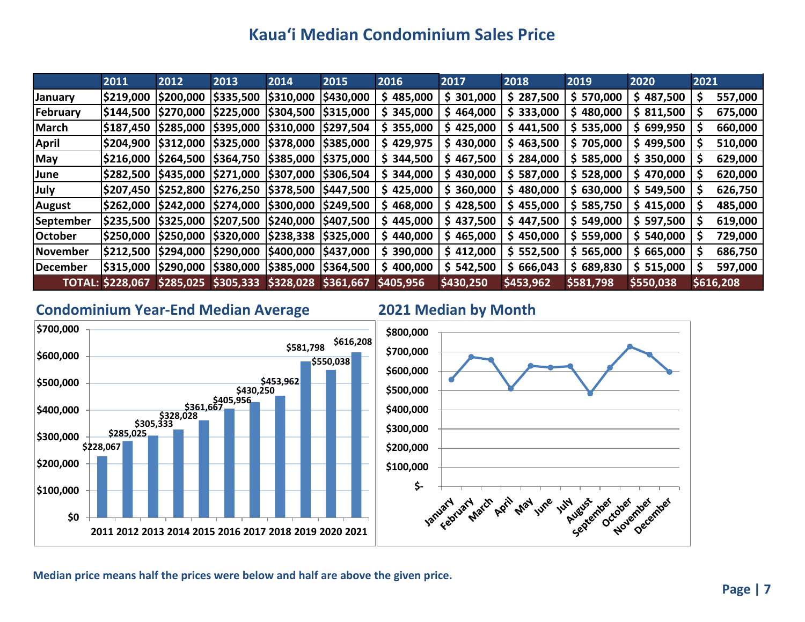# **Kaua'i Median Condominium Sales Price**

|                | 2011                    | 2012             | 2013                    | 2014                                | 2015            | 2016      | 2017      | 2018      | 2019       | 2020       | 2021      |         |
|----------------|-------------------------|------------------|-------------------------|-------------------------------------|-----------------|-----------|-----------|-----------|------------|------------|-----------|---------|
| <b>January</b> | \$219,000               | \$200,000        | \$335,500               | \$310,000                           | \$430,000       | \$485,000 | \$301,000 | \$287,500 | \$ 570,000 | \$487,500  | Ş         | 557,000 |
| February       | \$144,500               | <b>\$270,000</b> | \$225,000               | \$304,500                           | \$315,000       | \$345,000 | \$464,000 | \$333,000 | \$480,000  | \$811,500  |           | 675,000 |
| March          | \$187,450               | \$285,000        | \$395,000               | \$310,000                           | \$297,504       | \$355,000 | \$425,000 | \$441,500 | \$ 535,000 | \$699,950  |           | 660,000 |
| <b>April</b>   | \$204,900               | \$312,000        | \$325,000  \$378,000    |                                     | \$385,000       | \$429,975 | \$430,000 | \$463,500 | \$705,000  | \$499,500  |           | 510,000 |
| May            | <b>S216,000</b>         | \$264,500        | $ $364,750$ $ $385,000$ |                                     | \$375,000       | \$344,500 | \$467,500 | \$284,000 | \$585,000  | \$350,000  |           | 629,000 |
| <b>June</b>    | \$282,500               | \$435,000        | \$271,000  \$307,000    |                                     | \$306,504       | \$344,000 | \$430,000 | \$587,000 | \$ 528,000 | \$470,000  |           | 620,000 |
| July           | S207,450                | \$252,800        | \$276,250  \$378,500    |                                     | <b>S447,500</b> | \$425,000 | \$360,000 | \$480,000 | \$630,000  | \$549,500  | S         | 626,750 |
| <b>August</b>  | \$262,000               | \$242,000        | $ $274,000$ $ $300,000$ |                                     | <b>S249,500</b> | \$468,000 | \$428,500 | \$455,000 | \$585,750  | \$415,000  |           | 485,000 |
| September      | \$235,500               | \$325,000        | \$207,500 \$240,000     |                                     | <b>S407,500</b> | \$445,000 | \$437,500 | \$447,500 | \$549,000  | \$597,500  |           | 619,000 |
| <b>October</b> | IS250,000               | \$250,000        |                         | $ $320,000$ $ $238,338$ $ $325,000$ |                 | \$440,000 | \$465,000 | \$450,000 | \$559,000  | \$540,000  |           | 729,000 |
| November       | \$212,500               | \$294,000        | \$290,000 \$400,000     |                                     | \$437,000       | \$390,000 | \$412,000 | \$552,500 | \$565,000  | \$665,000  |           | 686,750 |
| December       | \$315,000               | \$290,000        | $ $380,000$ $ $385,000$ |                                     | \$364,500       | \$400,000 | \$542,500 | \$666,043 | \$689,830  | \$ 515,000 |           | 597,000 |
|                | <b>TOTAL: \$228,067</b> | \$285,025        |                         | $ $305,333$ $$328,028$              | \$361,667       | \$405,956 | \$430,250 | \$453,962 | \$581,798  | \$550,038  | \$616,208 |         |

### **Condominium Year-End Median Average 2021 Median by Month**



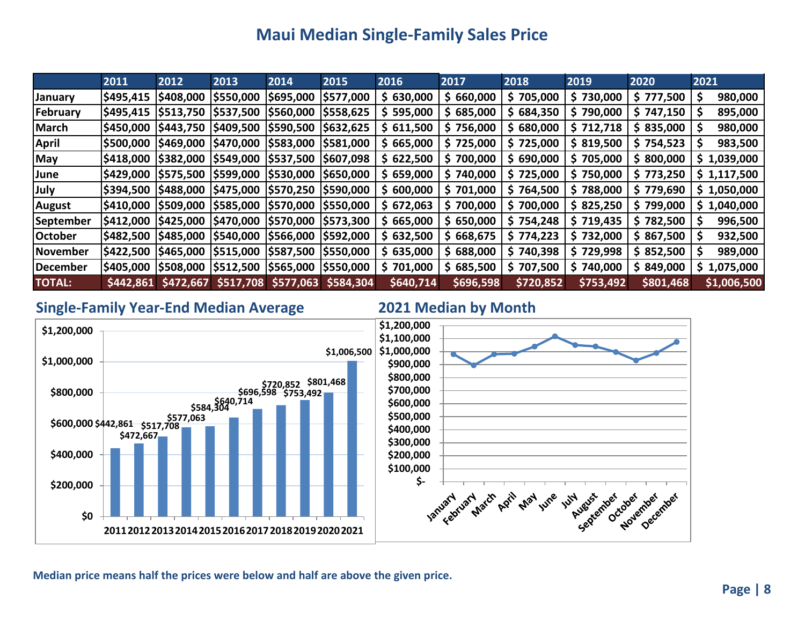# **Maui Median Single-Family Sales Price**

|                 | 2011             | 2012      | 2013                 | 2014                                | 2015      | 2016      | 2017      | 2018      | 2019      | 2020                   | 2021        |
|-----------------|------------------|-----------|----------------------|-------------------------------------|-----------|-----------|-----------|-----------|-----------|------------------------|-------------|
| <b>January</b>  | \$495,415        | \$408,000 | \$550,000            | \$695,000                           | \$577,000 | \$630,000 | \$660,000 | \$705,000 | \$730,000 | \$777,500              | 980,000     |
| February        | \$495,415        | \$513,750 | \$537,500            | <b>S560,000</b>                     | \$558,625 | \$595,000 | \$685,000 | \$684,350 | \$790,000 | \$747,150              | 895,000     |
| March           | \$450,000        | \$443,750 | \$409,500  \$590,500 |                                     | \$632,625 | \$611,500 | \$756,000 | \$680,000 | \$712,718 | \$835,000              | 980,000     |
| <b>April</b>    | <b>IS500,000</b> | \$469,000 |                      | \$470,000  \$583,000  \$581,000     |           | \$665,000 | \$725,000 | \$725,000 |           | $$319,500$ $$754,523$  | 983,500     |
| <b>May</b>      | \$418,000        | \$382,000 |                      | \$549,000  \$537,500  \$607,098     |           | \$622,500 | \$700,000 | \$690,000 | \$705,000 | \$800,000              | \$1,039,000 |
| <b>June</b>     | \$429,000        | \$575,500 |                      | \$599,000  \$530,000  \$650,000     |           | \$659,000 | \$740,000 | \$725,000 |           | $$750,000$   \$773,250 | \$1,117,500 |
| <b>July</b>     | \$394,500        | \$488,000 |                      | \$475,000  \$570,250  \$590,000     |           | \$600,000 | \$701,000 | \$764,500 | \$788,000 | \$779,690              | \$1,050,000 |
| <b>August</b>   | \$410,000        | \$509,000 |                      | \$585,000  \$570,000  \$550,000     |           | \$672,063 | \$700,000 | \$700,000 |           | $$825,250$ $$799,000$  | \$1,040,000 |
| September       | \$412,000        | \$425,000 |                      | \$470,000  \$570,000  \$573,300     |           | \$665,000 | \$650,000 | \$754,248 | \$719,435 | \$782,500              | 996,500     |
| <b>October</b>  | \$482,500        | \$485,000 | \$540,000 \$566,000  |                                     | \$592,000 | \$632,500 | \$668,675 | \$774,223 | \$732,000 | \$867,500              | 932,500     |
| <b>November</b> | \$422,500        | \$465,000 |                      | $ $515,000$ $ $587,500$ $ $550,000$ |           | \$635,000 | \$688,000 | \$740,398 | \$729,998 | \$852,500              | 989,000     |
| December        | \$405,000        | \$508,000 |                      | \$512,500 \$565,000 \$550,000       |           | \$701,000 | \$685,500 | \$707,500 | \$740,000 | \$849,000              | \$1,075,000 |
| <b>TOTAL:</b>   | \$442,861        | \$472,667 | \$517,708            | \$577,063                           | \$584,304 | \$640,714 | \$696,598 | \$720,852 | \$753,492 | \$801,468              | \$1,006,500 |

### **Single-Family Year-End Median Average 2021 Median by Month**

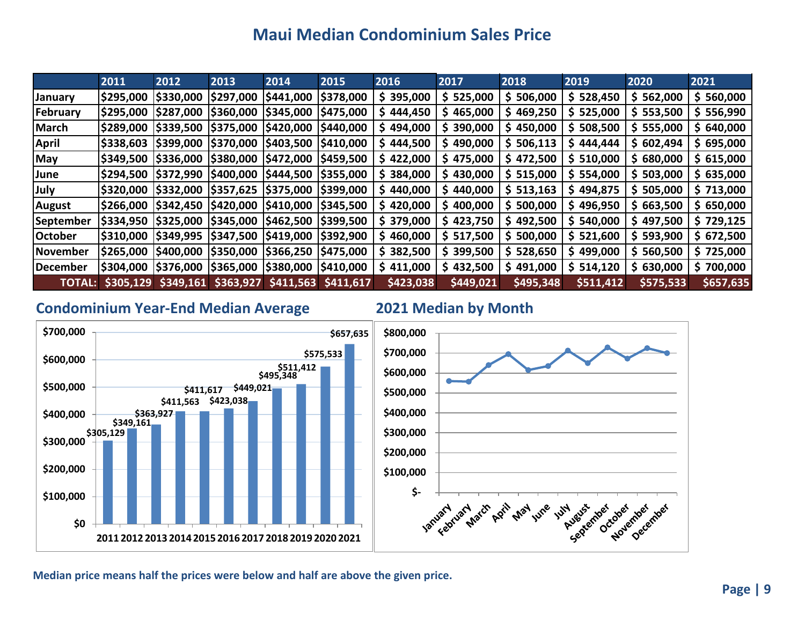# **Maui Median Condominium Sales Price**

|                 | 2011            | 2012                                       | 2013                 | 2014                                       | 2015                  | 2016      | 2017       | 2018       | 2019       | 2020      | 2021      |
|-----------------|-----------------|--------------------------------------------|----------------------|--------------------------------------------|-----------------------|-----------|------------|------------|------------|-----------|-----------|
| <b>January</b>  | \$295,000       | \$330,000                                  | \$297,000            | \$441,000                                  | \$378,000             | \$395,000 | \$ 525,000 | \$506,000  | \$528,450  | \$562,000 | \$560,000 |
| February        | \$295,000       | \$287,000                                  | \$360,000 \$345,000  |                                            | \$475,000             | \$444,450 | \$465,000  | \$469,250  | \$ 525,000 | \$553,500 | \$556,990 |
| March           | \$289,000       | \$339,500                                  | \$375,000 \$420,000  |                                            | \$440,000             | \$494,000 | \$390,000  | \$450,000  | \$508,500  | \$555,000 | \$640,000 |
| April           | <b>S338,603</b> | \$399,000                                  |                      | \$370,000  \$403,500  \$410,000            |                       | \$444,500 | \$490,000  | \$506,113  | \$444,444  | \$602,494 | \$695,000 |
| May             | \$349,500       | \$336,000                                  |                      | \$380,000 \$472,000 \$459,500              |                       | \$422,000 | \$475,000  | \$472,500  | \$ 510,000 | \$680,000 | \$615,000 |
| <b>June</b>     | \$294,500       | \$372,990  \$400,000  \$444,500  \$355,000 |                      |                                            |                       | \$384,000 | \$430,000  | \$ 515,000 | \$554,000  | \$503,000 | \$635,000 |
| <b>July</b>     | \$320,000       | \$332,000  \$357,625  \$375,000  \$399,000 |                      |                                            |                       | \$440,000 | \$440,000  | \$513,163  | \$494,875  | \$505,000 | \$713,000 |
| <b>August</b>   | <b>S266,000</b> |                                            |                      | \$342,450  \$420,000  \$410,000  \$345,500 |                       | \$420,000 | \$400,000  | \$500,000  | \$496,950  | \$663,500 | \$650,000 |
| September       | \$334,950       | \$325,000                                  |                      | \$345,000  \$462,500  \$399,500            |                       | \$379,000 | \$423,750  | \$492,500  | \$540,000  | 497,500   | \$729,125 |
| <b>October</b>  | \$310,000       |                                            |                      | \$349,995  \$347,500  \$419,000  \$392,900 |                       | \$460,000 | \$ 517,500 | \$500,000  | \$521,600  | \$593,900 | \$672,500 |
| <b>November</b> | \$265,000       | \$400,000                                  | \$350,000  \$366,250 |                                            | \$475,000             | \$382,500 | \$399,500  | \$528,650  | \$499,000  | \$560,500 | \$725,000 |
| December        | \$304,000       | \$376,000  \$365,000  \$380,000  \$410,000 |                      |                                            |                       | \$411,000 | \$432,500  | \$491,000  | \$514,120  | \$630,000 | \$700,000 |
| <b>TOTAL:</b>   | \$305,129       | \$349,161                                  | \$363,927            |                                            | $$411,563$ $$411,617$ | \$423,038 | \$449,021  | \$495,348  | \$511,412  | \$575,533 | \$657,635 |

### **Condominium Year-End Median Average 2021 Median by Month**





August river July August

idet deel ridet ridet

**Hyune.** 

**Huy**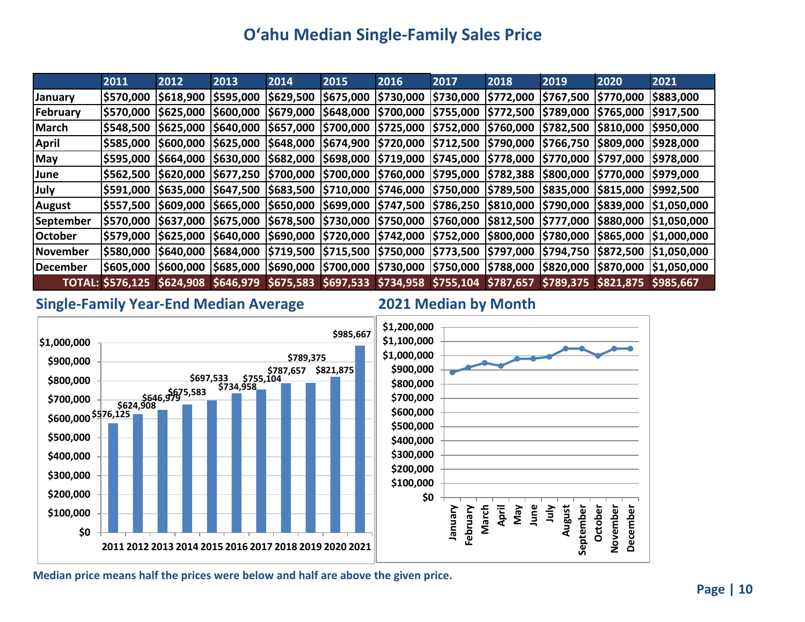# **O'ahu Median Single-Family Sales Price**

|                | 2011             | 2012     | 2013     | 2014            | 2015      | 2016      | 2017                                                                                                                       | 2018             | 2019            | 2020              | 2021                                                                                                                      |
|----------------|------------------|----------|----------|-----------------|-----------|-----------|----------------------------------------------------------------------------------------------------------------------------|------------------|-----------------|-------------------|---------------------------------------------------------------------------------------------------------------------------|
| <b>January</b> | \$570,000        | 5618,900 | 5595,000 | <b>S629,500</b> | \$675,000 | \$730,000 | \$730,000                                                                                                                  | <b>\$772,000</b> | \$767,500       | \$770,000         | \$883,000                                                                                                                 |
| February       |                  |          |          |                 |           |           | \$570,000  \$625,000  \$600,000  \$679,000  \$648,000  \$700,000  \$755,000  \$772,500                                     |                  | <b>S789,000</b> | <b>S765,000</b>   | \$917,500                                                                                                                 |
| March          |                  |          |          |                 |           |           | \$548,500 \$625,000 \$640,000 \$657,000 \$700,000 \$725,000 \$752,000 \$760,000                                            |                  | \$782,500       | <b>\$810,000</b>  | <b>S950,000</b>                                                                                                           |
| <b>April</b>   | <b>\$585,000</b> |          |          |                 |           |           | \$600,000  \$625,000  \$648,000  \$674,900  \$720,000  \$712,500  \$790,000  \$766,750                                     |                  |                 | <b>S809,000</b>   | 5928,000                                                                                                                  |
| <b>May</b>     |                  |          |          |                 |           |           | \$595,000  \$664,000  \$630,000  \$682,000  \$698,000  \$719,000  \$745,000  \$778,000  \$770,000  \$797,000  \$978,000 \$ |                  |                 |                   |                                                                                                                           |
| June           |                  |          |          |                 |           |           | \$562,500  \$620,000  \$677,250  \$700,000  \$700,000  \$760,000  \$795,000  \$782,388  \$800,000                          |                  |                 | 5770,000 5979,000 |                                                                                                                           |
| July           |                  |          |          |                 |           |           | \$591,000 \$635,000 \$647,500 \$683,500 \$710,000 \$746,000 \$750,000 \$789,500 \$835,000                                  |                  |                 | 5815,000 5992,500 |                                                                                                                           |
| <b>August</b>  |                  |          |          |                 |           |           |                                                                                                                            |                  |                 |                   | \$557,500  \$609,000  \$665,000  \$650,000  \$699,000  \$747,500  \$786,250  \$810,000  \$790,000  \$839,000  \$1,050,000 |
| September      |                  |          |          |                 |           |           |                                                                                                                            |                  |                 |                   | \$570,000  \$637,000  \$675,000  \$678,500  \$730,000  \$750,000  \$760,000  \$812,500  \$777,000  \$880,000  \$1,050,000 |
| <b>October</b> |                  |          |          |                 |           |           | \$579,000  \$625,000  \$640,000  \$690,000  \$720,000  \$742,000  \$752,000  \$800,000  \$780,000                          |                  |                 |                   | $ $865,000$ $ $1,000,000$                                                                                                 |
| November       |                  |          |          |                 |           |           |                                                                                                                            |                  |                 |                   | \$580,000  \$640,000  \$684,000  \$719,500  \$715,500  \$750,000  \$773,500  \$797,000  \$794,750  \$872,500  \$1,050,000 |
| December       | S605,000         |          |          |                 |           |           |                                                                                                                            |                  |                 |                   | \$600,000  \$685,000  \$690,000  \$700,000  \$730,000  \$750,000  \$788,000  \$820,000  \$870,000  \$1,050,000            |
|                |                  |          |          |                 |           |           | TOTAL: \$576,125 \$624,908 \$646,979 \$675,583 \$697,533 \$734,958 \$755,104 \$787,657 \$789,375 \$821,875 \$985,667       |                  |                 |                   |                                                                                                                           |

### **Single-Family Year-End Median Average 2021 Median by Month**